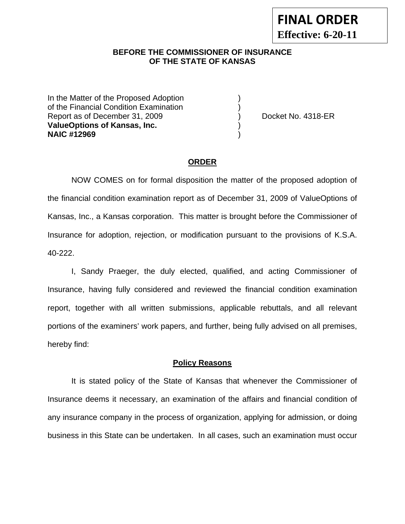#### **BEFORE THE COMMISSIONER OF INSURANCE OF THE STATE OF KANSAS**

In the Matter of the Proposed Adoption of the Financial Condition Examination ) Report as of December 31, 2009 (and Contact Contact Contact No. 4318-ER **ValueOptions of Kansas, Inc.** ) **NAIC #12969** )

#### **ORDER**

 NOW COMES on for formal disposition the matter of the proposed adoption of the financial condition examination report as of December 31, 2009 of ValueOptions of Kansas, Inc., a Kansas corporation. This matter is brought before the Commissioner of Insurance for adoption, rejection, or modification pursuant to the provisions of K.S.A. 40-222.

 I, Sandy Praeger, the duly elected, qualified, and acting Commissioner of Insurance, having fully considered and reviewed the financial condition examination report, together with all written submissions, applicable rebuttals, and all relevant portions of the examiners' work papers, and further, being fully advised on all premises, hereby find:

#### **Policy Reasons**

 It is stated policy of the State of Kansas that whenever the Commissioner of Insurance deems it necessary, an examination of the affairs and financial condition of any insurance company in the process of organization, applying for admission, or doing business in this State can be undertaken. In all cases, such an examination must occur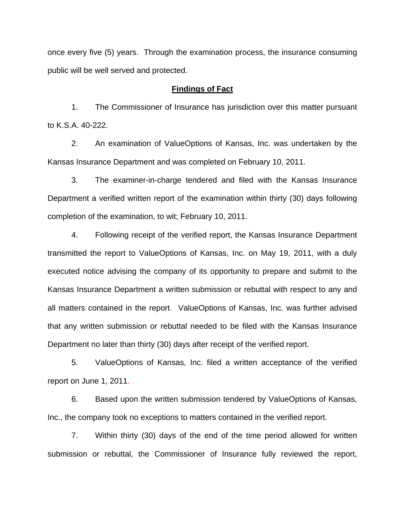once every five (5) years. Through the examination process, the insurance consuming public will be well served and protected.

#### **Findings of Fact**

1. The Commissioner of Insurance has jurisdiction over this matter pursuant to K.S.A. 40-222.

2. An examination of ValueOptions of Kansas, Inc. was undertaken by the Kansas Insurance Department and was completed on February 10, 2011.

3. The examiner-in-charge tendered and filed with the Kansas Insurance Department a verified written report of the examination within thirty (30) days following completion of the examination, to wit; February 10, 2011.

4. Following receipt of the verified report, the Kansas Insurance Department transmitted the report to ValueOptions of Kansas, Inc. on May 19, 2011, with a duly executed notice advising the company of its opportunity to prepare and submit to the Kansas Insurance Department a written submission or rebuttal with respect to any and all matters contained in the report. ValueOptions of Kansas, Inc. was further advised that any written submission or rebuttal needed to be filed with the Kansas Insurance Department no later than thirty (30) days after receipt of the verified report.

5. ValueOptions of Kansas, Inc. filed a written acceptance of the verified report on June 1, 2011.

6. Based upon the written submission tendered by ValueOptions of Kansas, Inc., the company took no exceptions to matters contained in the verified report.

7. Within thirty (30) days of the end of the time period allowed for written submission or rebuttal, the Commissioner of Insurance fully reviewed the report,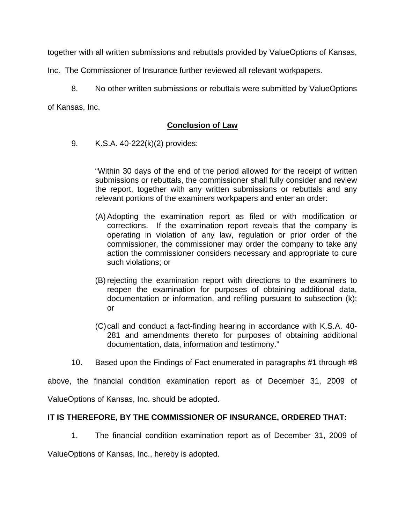together with all written submissions and rebuttals provided by ValueOptions of Kansas,

Inc. The Commissioner of Insurance further reviewed all relevant workpapers.

8. No other written submissions or rebuttals were submitted by ValueOptions

of Kansas, Inc.

# **Conclusion of Law**

9. K.S.A. 40-222(k)(2) provides:

"Within 30 days of the end of the period allowed for the receipt of written submissions or rebuttals, the commissioner shall fully consider and review the report, together with any written submissions or rebuttals and any relevant portions of the examiners workpapers and enter an order:

- (A) Adopting the examination report as filed or with modification or corrections. If the examination report reveals that the company is operating in violation of any law, regulation or prior order of the commissioner, the commissioner may order the company to take any action the commissioner considers necessary and appropriate to cure such violations; or
- (B) rejecting the examination report with directions to the examiners to reopen the examination for purposes of obtaining additional data, documentation or information, and refiling pursuant to subsection (k); or
- (C) call and conduct a fact-finding hearing in accordance with K.S.A. 40- 281 and amendments thereto for purposes of obtaining additional documentation, data, information and testimony."
- 10. Based upon the Findings of Fact enumerated in paragraphs #1 through #8

above, the financial condition examination report as of December 31, 2009 of

ValueOptions of Kansas, Inc. should be adopted.

## **IT IS THEREFORE, BY THE COMMISSIONER OF INSURANCE, ORDERED THAT:**

1. The financial condition examination report as of December 31, 2009 of

ValueOptions of Kansas, Inc., hereby is adopted.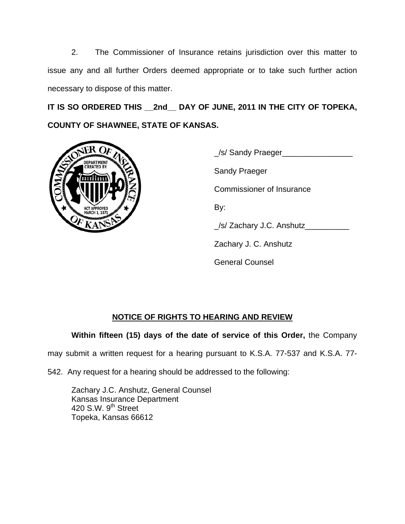2. The Commissioner of Insurance retains jurisdiction over this matter to issue any and all further Orders deemed appropriate or to take such further action necessary to dispose of this matter.

**IT IS SO ORDERED THIS \_\_2nd\_\_ DAY OF JUNE, 2011 IN THE CITY OF TOPEKA, COUNTY OF SHAWNEE, STATE OF KANSAS.** 



| تلقيم<br><b>DEPARTMENT</b><br><b>CREATED BY</b><br>MN<br><b>ACT APPROVED</b> | _/s/ Sandy Praeger_              |
|------------------------------------------------------------------------------|----------------------------------|
|                                                                              | <b>Sandy Praeger</b>             |
|                                                                              | <b>Commissioner of Insurance</b> |
|                                                                              | By:                              |
|                                                                              | _/s/ Zachary J.C. Anshutz_       |
|                                                                              | Zachary J. C. Anshutz            |
|                                                                              | <b>General Counsel</b>           |

# **NOTICE OF RIGHTS TO HEARING AND REVIEW**

**Within fifteen (15) days of the date of service of this Order,** the Company

may submit a written request for a hearing pursuant to K.S.A. 77-537 and K.S.A. 77-

542. Any request for a hearing should be addressed to the following:

 Zachary J.C. Anshutz, General Counsel Kansas Insurance Department 420 S.W.  $9<sup>th</sup>$  Street Topeka, Kansas 66612